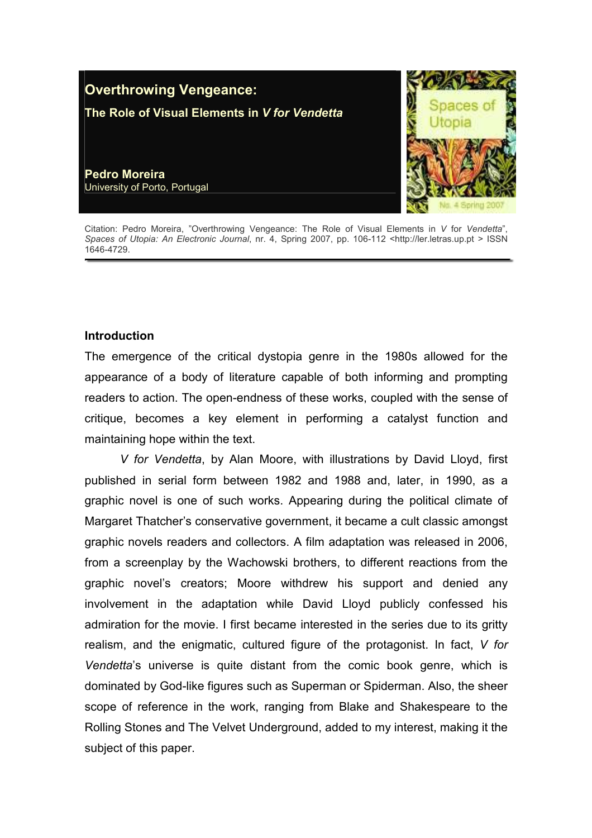

Citation: Pedro Moreira, "Overthrowing Vengeance: The Role of Visual Elements in V for Vendetta", Spaces of Utopia: An Electronic Journal, nr. 4, Spring 2007, pp. 106-112 <http://ler.letras.up.pt > ISSN 1646-4729.

# **Introduction**

The emergence of the critical dystopia genre in the 1980s allowed for the appearance of a body of literature capable of both informing and prompting readers to action. The open-endness of these works, coupled with the sense of critique, becomes a key element in performing a catalyst function and maintaining hope within the text.

V for Vendetta, by Alan Moore, with illustrations by David Lloyd, first published in serial form between 1982 and 1988 and, later, in 1990, as a graphic novel is one of such works. Appearing during the political climate of Margaret Thatcher's conservative government, it became a cult classic amongst graphic novels readers and collectors. A film adaptation was released in 2006, from a screenplay by the Wachowski brothers, to different reactions from the graphic novel's creators; Moore withdrew his support and denied any involvement in the adaptation while David Lloyd publicly confessed his admiration for the movie. I first became interested in the series due to its gritty realism, and the enigmatic, cultured figure of the protagonist. In fact, V for Vendetta's universe is quite distant from the comic book genre, which is dominated by God-like figures such as Superman or Spiderman. Also, the sheer scope of reference in the work, ranging from Blake and Shakespeare to the Rolling Stones and The Velvet Underground, added to my interest, making it the subject of this paper.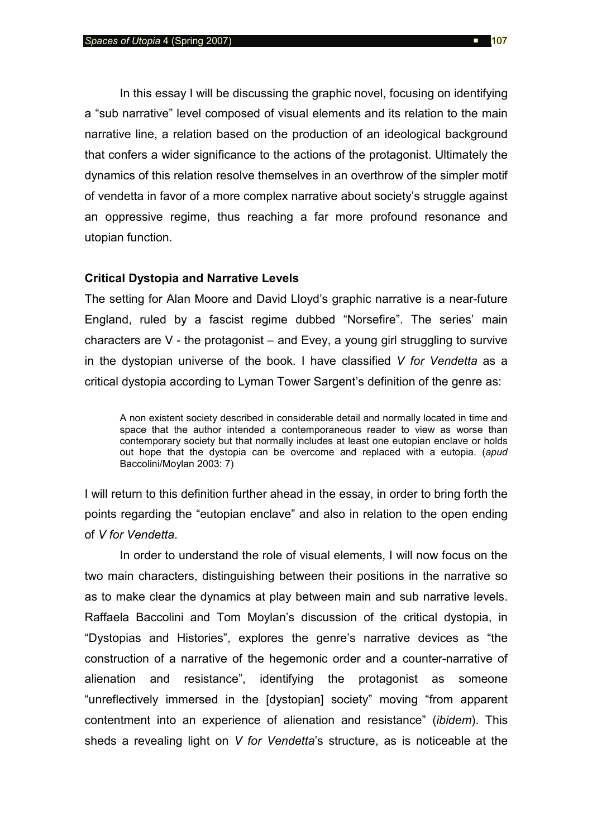In this essay I will be discussing the graphic novel, focusing on identifying a "sub narrative" level composed of visual elements and its relation to the main narrative line, a relation based on the production of an ideological background that confers a wider significance to the actions of the protagonist. Ultimately the dynamics of this relation resolve themselves in an overthrow of the simpler motif of vendetta in favor of a more complex narrative about society's struggle against an oppressive regime, thus reaching a far more profound resonance and utopian function.

# Critical Dystopia and Narrative Levels

The setting for Alan Moore and David Lloyd's graphic narrative is a near-future England, ruled by a fascist regime dubbed "Norsefire". The series' main characters are V - the protagonist – and Evey, a young girl struggling to survive in the dystopian universe of the book. I have classified V for Vendetta as a critical dystopia according to Lyman Tower Sargent's definition of the genre as:

A non existent society described in considerable detail and normally located in time and space that the author intended a contemporaneous reader to view as worse than contemporary society but that normally includes at least one eutopian enclave or holds out hope that the dystopia can be overcome and replaced with a eutopia. (apud Baccolini/Moylan 2003: 7)

I will return to this definition further ahead in the essay, in order to bring forth the points regarding the "eutopian enclave" and also in relation to the open ending of V for Vendetta.

In order to understand the role of visual elements, I will now focus on the two main characters, distinguishing between their positions in the narrative so as to make clear the dynamics at play between main and sub narrative levels. Raffaela Baccolini and Tom Moylan's discussion of the critical dystopia, in "Dystopias and Histories", explores the genre's narrative devices as "the construction of a narrative of the hegemonic order and a counter-narrative of alienation and resistance", identifying the protagonist as someone "unreflectively immersed in the [dystopian] society" moving "from apparent contentment into an experience of alienation and resistance" (ibidem). This sheds a revealing light on V for Vendetta's structure, as is noticeable at the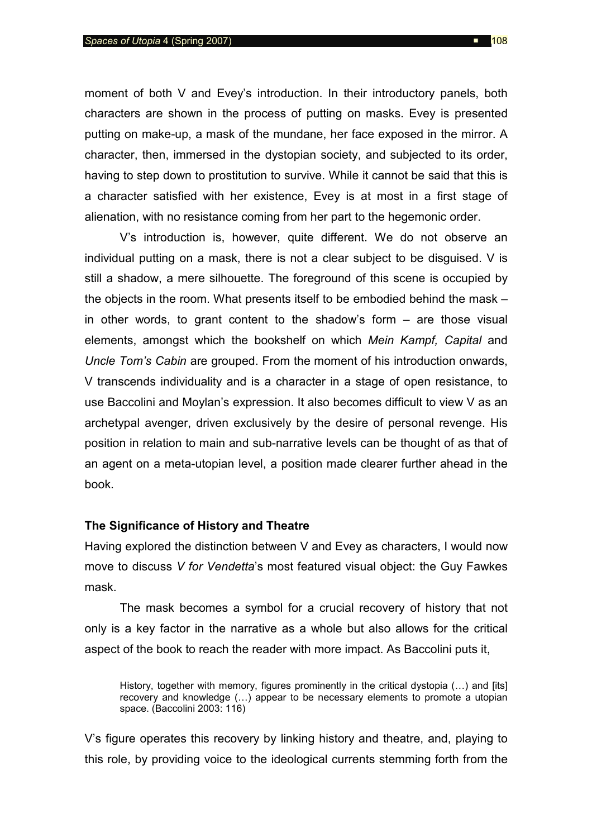moment of both V and Evey's introduction. In their introductory panels, both characters are shown in the process of putting on masks. Evey is presented putting on make-up, a mask of the mundane, her face exposed in the mirror. A character, then, immersed in the dystopian society, and subjected to its order, having to step down to prostitution to survive. While it cannot be said that this is a character satisfied with her existence, Evey is at most in a first stage of alienation, with no resistance coming from her part to the hegemonic order.

V's introduction is, however, quite different. We do not observe an individual putting on a mask, there is not a clear subject to be disguised. V is still a shadow, a mere silhouette. The foreground of this scene is occupied by the objects in the room. What presents itself to be embodied behind the mask – in other words, to grant content to the shadow's form – are those visual elements, amongst which the bookshelf on which Mein Kampf, Capital and Uncle Tom's Cabin are grouped. From the moment of his introduction onwards, V transcends individuality and is a character in a stage of open resistance, to use Baccolini and Moylan's expression. It also becomes difficult to view V as an archetypal avenger, driven exclusively by the desire of personal revenge. His position in relation to main and sub-narrative levels can be thought of as that of an agent on a meta-utopian level, a position made clearer further ahead in the book.

#### The Significance of History and Theatre

Having explored the distinction between V and Evey as characters, I would now move to discuss V for Vendetta's most featured visual object: the Guy Fawkes mask.

The mask becomes a symbol for a crucial recovery of history that not only is a key factor in the narrative as a whole but also allows for the critical aspect of the book to reach the reader with more impact. As Baccolini puts it,

History, together with memory, figures prominently in the critical dystopia (...) and [its] recovery and knowledge (…) appear to be necessary elements to promote a utopian space. (Baccolini 2003: 116)

V's figure operates this recovery by linking history and theatre, and, playing to this role, by providing voice to the ideological currents stemming forth from the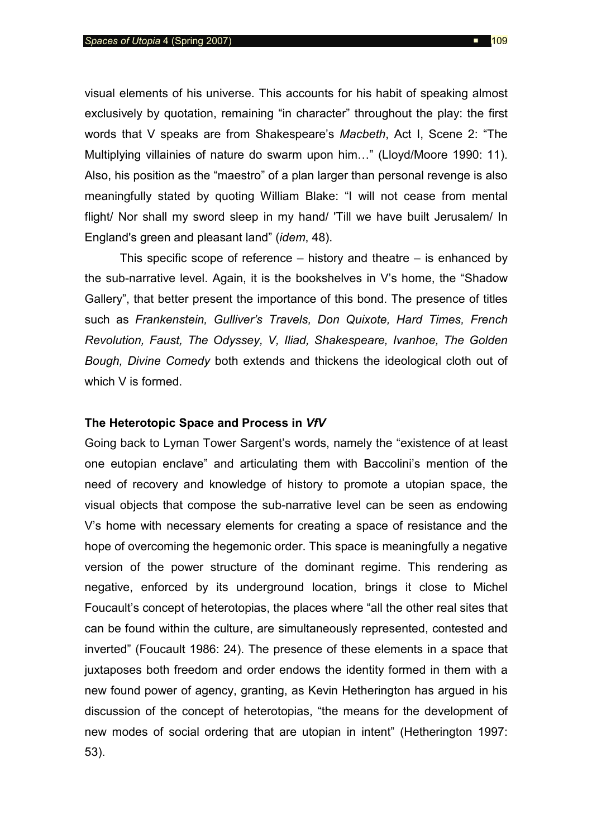visual elements of his universe. This accounts for his habit of speaking almost exclusively by quotation, remaining "in character" throughout the play: the first words that V speaks are from Shakespeare's Macbeth, Act I, Scene 2: "The Multiplying villainies of nature do swarm upon him…" (Lloyd/Moore 1990: 11). Also, his position as the "maestro" of a plan larger than personal revenge is also meaningfully stated by quoting William Blake: "I will not cease from mental flight/ Nor shall my sword sleep in my hand/ 'Till we have built Jerusalem/ In England's green and pleasant land" (idem, 48).

 This specific scope of reference – history and theatre – is enhanced by the sub-narrative level. Again, it is the bookshelves in V's home, the "Shadow Gallery", that better present the importance of this bond. The presence of titles such as Frankenstein, Gulliver's Travels, Don Quixote, Hard Times, French Revolution, Faust, The Odyssey, V, Iliad, Shakespeare, Ivanhoe, The Golden Bough, Divine Comedy both extends and thickens the ideological cloth out of which V is formed.

### The Heterotopic Space and Process in VfV

Going back to Lyman Tower Sargent's words, namely the "existence of at least one eutopian enclave" and articulating them with Baccolini's mention of the need of recovery and knowledge of history to promote a utopian space, the visual objects that compose the sub-narrative level can be seen as endowing V's home with necessary elements for creating a space of resistance and the hope of overcoming the hegemonic order. This space is meaningfully a negative version of the power structure of the dominant regime. This rendering as negative, enforced by its underground location, brings it close to Michel Foucault's concept of heterotopias, the places where "all the other real sites that can be found within the culture, are simultaneously represented, contested and inverted" (Foucault 1986: 24). The presence of these elements in a space that juxtaposes both freedom and order endows the identity formed in them with a new found power of agency, granting, as Kevin Hetherington has argued in his discussion of the concept of heterotopias, "the means for the development of new modes of social ordering that are utopian in intent" (Hetherington 1997: 53).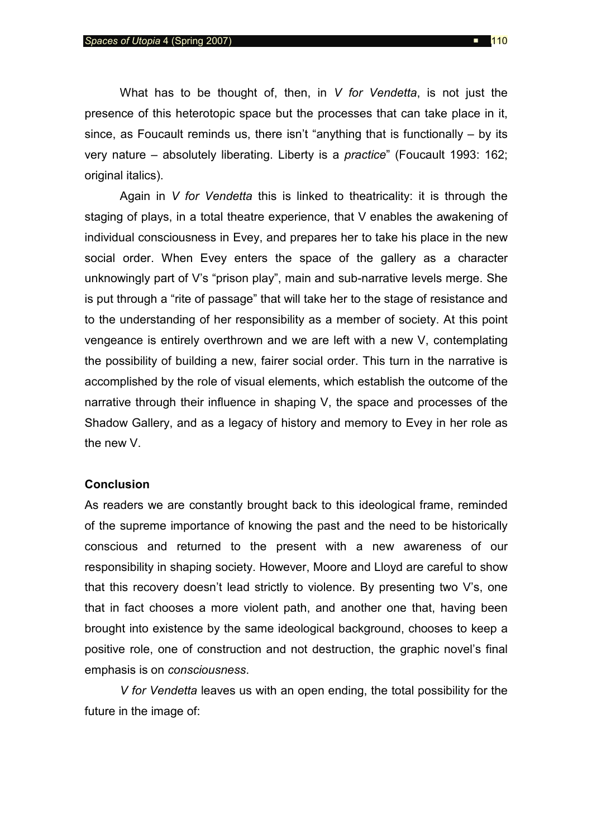What has to be thought of, then, in  $V$  for Vendetta, is not just the presence of this heterotopic space but the processes that can take place in it, since, as Foucault reminds us, there isn't "anything that is functionally – by its very nature – absolutely liberating. Liberty is a practice" (Foucault 1993: 162; original italics).

Again in  $V$  for Vendetta this is linked to theatricality: it is through the staging of plays, in a total theatre experience, that V enables the awakening of individual consciousness in Evey, and prepares her to take his place in the new social order. When Evey enters the space of the gallery as a character unknowingly part of V's "prison play", main and sub-narrative levels merge. She is put through a "rite of passage" that will take her to the stage of resistance and to the understanding of her responsibility as a member of society. At this point vengeance is entirely overthrown and we are left with a new V, contemplating the possibility of building a new, fairer social order. This turn in the narrative is accomplished by the role of visual elements, which establish the outcome of the narrative through their influence in shaping V, the space and processes of the Shadow Gallery, and as a legacy of history and memory to Evey in her role as the new V.

#### **Conclusion**

As readers we are constantly brought back to this ideological frame, reminded of the supreme importance of knowing the past and the need to be historically conscious and returned to the present with a new awareness of our responsibility in shaping society. However, Moore and Lloyd are careful to show that this recovery doesn't lead strictly to violence. By presenting two V's, one that in fact chooses a more violent path, and another one that, having been brought into existence by the same ideological background, chooses to keep a positive role, one of construction and not destruction, the graphic novel's final emphasis is on consciousness.

V for Vendetta leaves us with an open ending, the total possibility for the future in the image of: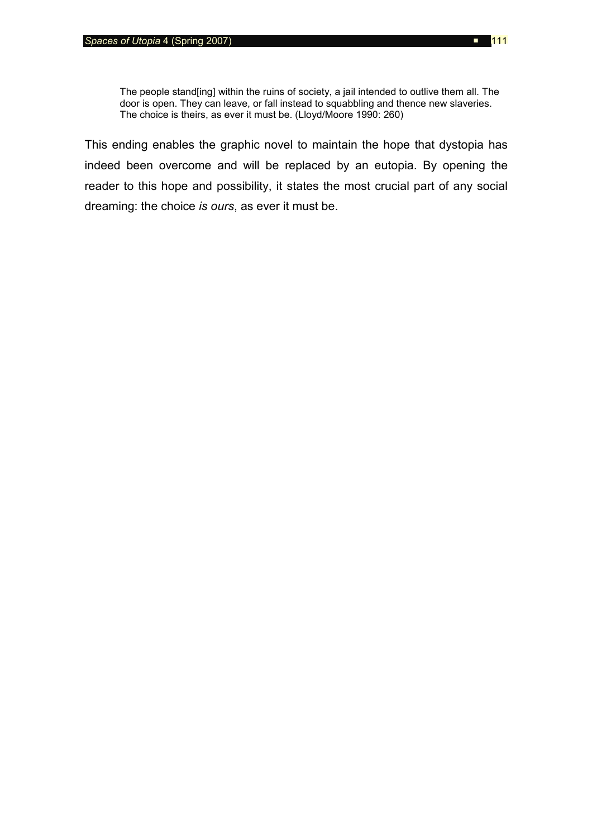The people stand[ing] within the ruins of society, a jail intended to outlive them all. The door is open. They can leave, or fall instead to squabbling and thence new slaveries. The choice is theirs, as ever it must be. (Lloyd/Moore 1990: 260)

This ending enables the graphic novel to maintain the hope that dystopia has indeed been overcome and will be replaced by an eutopia. By opening the reader to this hope and possibility, it states the most crucial part of any social dreaming: the choice is ours, as ever it must be.